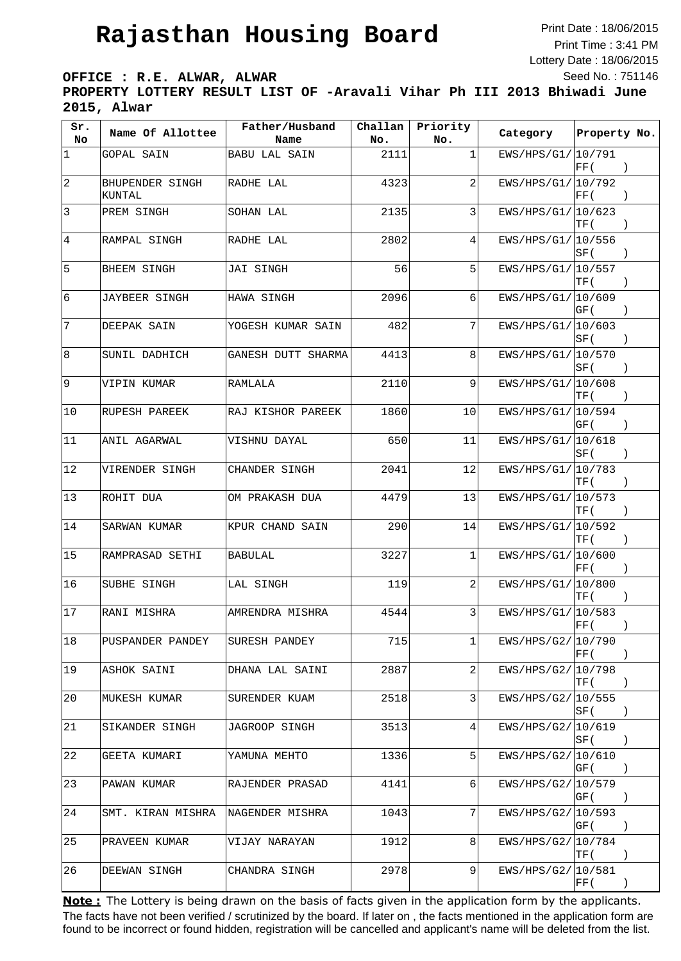Print Date : 18/06/2015 Print Time : 3:41 PM Lottery Date : 18/06/2015 Seed No. : 751146

**OFFICE : R.E. ALWAR, ALWAR PROPERTY LOTTERY RESULT LIST OF -Aravali Vihar Ph III 2013 Bhiwadi June 2015, Alwar**

| Sr.<br>No     | Name Of Allottee          | Father/Husband<br>Name | Challan<br>No. | Priority<br>No. | Category           | Property No.             |
|---------------|---------------------------|------------------------|----------------|-----------------|--------------------|--------------------------|
| 1             | GOPAL SAIN                | <b>BABU LAL SAIN</b>   | 2111           | 1               | EWS/HPS/G1/ 10/791 | $\vert$ FF (             |
| 2             | BHUPENDER SINGH<br>KUNTAL | RADHE LAL              | 4323           | 2               | EWS/HPS/G1/ 10/792 | FF (                     |
| 3             | PREM SINGH                | SOHAN LAL              | 2135           | 3               | EWS/HPS/G1/ 10/623 | TF (<br>$\rightarrow$    |
| 4             | RAMPAL SINGH              | RADHE LAL              | 2802           | 4               | EWS/HPS/G1/ 10/556 | SF (                     |
| 5             | BHEEM SINGH               | <b>JAI SINGH</b>       | 56             | 5               | EWS/HPS/G1/ 10/557 | TF (                     |
| 6             | JAYBEER SINGH             | HAWA SINGH             | 2096           | 6               | EWS/HPS/G1/ 10/609 | GF (<br>$\left( \right)$ |
| 7             | DEEPAK SAIN               | YOGESH KUMAR SAIN      | 482            | 7               | EWS/HPS/G1/ 10/603 | SF (<br>$\lambda$        |
| 8             | SUNIL DADHICH             | GANESH DUTT SHARMA     | 4413           | 8               | EWS/HPS/G1/ 10/570 | SF (<br>$\rightarrow$    |
| 9             | VIPIN KUMAR               | RAMLALA                | 2110           | 9               | EWS/HPS/G1/ 10/608 | TF (<br>$\rightarrow$    |
| 10            | RUPESH PAREEK             | RAJ KISHOR PAREEK      | 1860           | 10              | EWS/HPS/G1/ 10/594 | GF (                     |
| 11            | ANIL AGARWAL              | VISHNU DAYAL           | 650            | 11              | EWS/HPS/G1/ 10/618 | SF (<br>$\rightarrow$    |
| 12            | VIRENDER SINGH            | CHANDER SINGH          | 2041           | 12              | EWS/HPS/G1/10/783  | TF (                     |
| 13            | ROHIT DUA                 | OM PRAKASH DUA         | 4479           | 13              | EWS/HPS/G1/10/573  | TF (<br>$\left( \right)$ |
| 14            | SARWAN KUMAR              | KPUR CHAND SAIN        | 290            | 14              | EWS/HPS/G1/ 10/592 | TF (<br>$\rightarrow$    |
| 15            | RAMPRASAD SETHI           | <b>BABULAL</b>         | 3227           | 1               | EWS/HPS/G1/ 10/600 | FF(                      |
| <sup>16</sup> | SUBHE SINGH               | LAL SINGH              | 119            | 2               | EWS/HPS/G1/ 10/800 | TF (<br>$\left( \right)$ |
| 17            | RANI MISHRA               | AMRENDRA MISHRA        | 4544           | 3               | EWS/HPS/G1/10/583  | FF (                     |
| 18            | PUSPANDER PANDEY          | SURESH PANDEY          | 715            | 1               | EWS/HPS/G2/ 10/790 | FF(                      |
| 19            | ASHOK SAINI               | DHANA LAL SAINI        | 2887           | 2               | EWS/HPS/G2/10/798  | TF (<br>$\rightarrow$    |
| 20            | MUKESH KUMAR              | SURENDER KUAM          | 2518           | 3               | EWS/HPS/G2/ 10/555 | SF (<br>$\left( \right)$ |
| 21            | SIKANDER SINGH            | JAGROOP SINGH          | 3513           | 4               | EWS/HPS/G2/ 10/619 | SF (                     |
| 22            | GEETA KUMARI              | YAMUNA MEHTO           | 1336           | 5               | EWS/HPS/G2/ 10/610 | GF (<br>$\left( \right)$ |
| 23            | PAWAN KUMAR               | RAJENDER PRASAD        | 4141           | 6               | EWS/HPS/G2/10/579  | GF (<br>$\left( \right)$ |
| 24            | SMT. KIRAN MISHRA         | NAGENDER MISHRA        | 1043           | 7               | EWS/HPS/G2/ 10/593 | GF (<br>$\rightarrow$    |
| 25            | PRAVEEN KUMAR             | VIJAY NARAYAN          | 1912           | 8               | EWS/HPS/G2/ 10/784 | TF (<br>$\rightarrow$    |
| 26            | DEEWAN SINGH              | CHANDRA SINGH          | 2978           | 9               | EWS/HPS/G2/ 10/581 | FF (<br>$\left( \right)$ |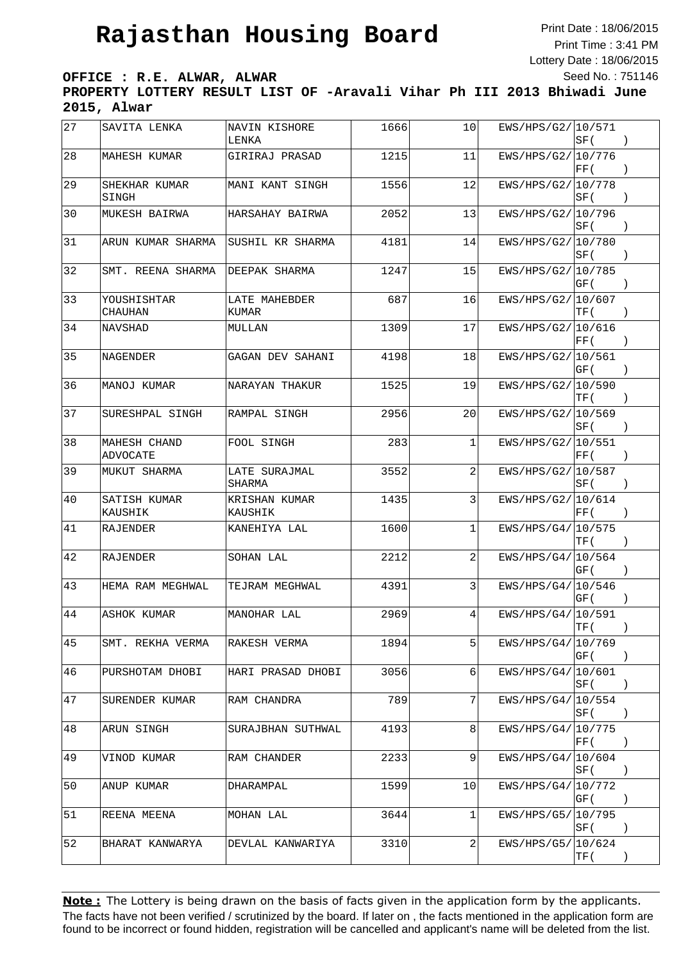Print Date : 18/06/2015 Print Time : 3:41 PM Lottery Date : 18/06/2015 Seed No. : 751146

**OFFICE : R.E. ALWAR, ALWAR**

**PROPERTY LOTTERY RESULT LIST OF -Aravali Vihar Ph III 2013 Bhiwadi June 2015, Alwar**

| 27   | SAVITA LENKA             | NAVIN KISHORE<br>LENKA   | 1666 | 10              | EWS/HPS/G2/10/571  | $ {\rm SF} $<br>$\left( \right)$                               |  |
|------|--------------------------|--------------------------|------|-----------------|--------------------|----------------------------------------------------------------|--|
| 28   | MAHESH KUMAR             | GIRIRAJ PRASAD           | 1215 | 11              | EWS/HPS/G2/10/776  | $\vert$ FF (<br>$\left( \right)$                               |  |
| 29   | SHEKHAR KUMAR<br>SINGH   | MANI KANT SINGH          | 1556 | 12              | EWS/HPS/G2/ 10/778 | SF (<br>$\left( \right)$                                       |  |
| 30   | MUKESH BAIRWA            | HARSAHAY BAIRWA          | 2052 | 13              | EWS/HPS/G2/10/796  | SF (<br>$\left( \right)$                                       |  |
| 31   | ARUN KUMAR SHARMA        | ISUSHIL KR SHARMA        | 4181 | 14              | EWS/HPS/G2/ 10/780 | SF (<br>$\left( \right)$                                       |  |
| 32   | SMT. REENA SHARMA        | DEEPAK SHARMA            | 1247 | 15              | EWS/HPS/G2/ 10/785 | GF (<br>$\left( \right)$                                       |  |
| $33$ | YOUSHISHTAR<br>CHAUHAN   | LATE MAHEBDER<br>KUMAR   | 687  | 16              | EWS/HPS/G2/ 10/607 | TF (<br>$\left( \right)$                                       |  |
| 34   | <b>NAVSHAD</b>           | MULLAN                   | 1309 | 17              | EWS/HPS/G2/10/616  | FF(<br>$\left( \right)$                                        |  |
| 35   | <b>NAGENDER</b>          | GAGAN DEV SAHANI         | 4198 | 18              | EWS/HPS/G2/ 10/561 | GF (<br>$\left( \right)$                                       |  |
| 36   | MANOJ KUMAR              | NARAYAN THAKUR           | 1525 | 19              | EWS/HPS/G2/ 10/590 | TF (                                                           |  |
| 37   | SURESHPAL SINGH          | RAMPAL SINGH             | 2956 | 20              | EWS/HPS/G2/ 10/569 | SF (<br>$\left( \right)$                                       |  |
| 38   | MAHESH CHAND<br>ADVOCATE | FOOL SINGH               | 283  | 1               | EWS/HPS/G2/ 10/551 | $\left  \mathrm{FF}\left( \right. \right.$<br>$\left( \right)$ |  |
| 39   | MUKUT SHARMA             | LATE SURAJMAL<br>SHARMA  | 3552 | 2               | EWS/HPS/G2/ 10/587 | SF (<br>$\left( \right)$                                       |  |
| 40   | SATISH KUMAR<br>KAUSHIK  | KRISHAN KUMAR<br>KAUSHIK | 1435 | 3               | EWS/HPS/G2/ 10/614 | FF(<br>$\left( \right)$                                        |  |
| 41   | RAJENDER                 | KANEHIYA LAL             | 1600 | $\mathbf{1}$    | EWS/HPS/G4/ 10/575 | $\left( \right)$<br>TF (                                       |  |
| 42   | RAJENDER                 | SOHAN LAL                | 2212 | 2               | EWS/HPS/G4/ 10/564 | GF (<br>$\rightarrow$                                          |  |
| 43   | HEMA RAM MEGHWAL         | TEJRAM MEGHWAL           | 4391 | 3               | EWS/HPS/G4/10/546  | GF (                                                           |  |
| 44   | <b>ASHOK KUMAR</b>       | MANOHAR LAL              | 2969 | 4               | EWS/HPS/G4/ 10/591 | $\left\vert \mathrm{TF}\left( \right.\right\vert$              |  |
| 45   | SMT. REKHA VERMA         | RAKESH VERMA             | 1894 | 5               | EWS/HPS/G4/ 10/769 | GF (<br>$\left( \right)$                                       |  |
| 46   | PURSHOTAM DHOBI          | HARI PRASAD DHOBI        | 3056 | 6               | EWS/HPS/G4/ 10/601 | SF (<br>$\left( \right)$                                       |  |
| 47   | SURENDER KUMAR           | RAM CHANDRA              | 789  | 7               | EWS/HPS/G4/10/554  | $ {\rm SF} $<br>$\left( \right)$                               |  |
| 48   | ARUN SINGH               | SURAJBHAN SUTHWAL        | 4193 | 8               | EWS/HPS/G4/10/775  | FF(<br>$\rightarrow$                                           |  |
| 49   | VINOD KUMAR              | RAM CHANDER              | 2233 | 9               | EWS/HPS/G4/10/604  | SF (<br>$\left( \right)$                                       |  |
| 50   | ANUP KUMAR               | DHARAMPAL                | 1599 | 10 <sub>l</sub> | EWS/HPS/G4/10/772  | GF (<br>$\rightarrow$                                          |  |
| 51   | REENA MEENA              | MOHAN LAL                | 3644 | 1               | EWS/HPS/G5/10/795  | SF (<br>$\left( \right)$                                       |  |
| 52   | BHARAT KANWARYA          | DEVLAL KANWARIYA         | 3310 | 2               | EWS/HPS/G5/ 10/624 | TF (                                                           |  |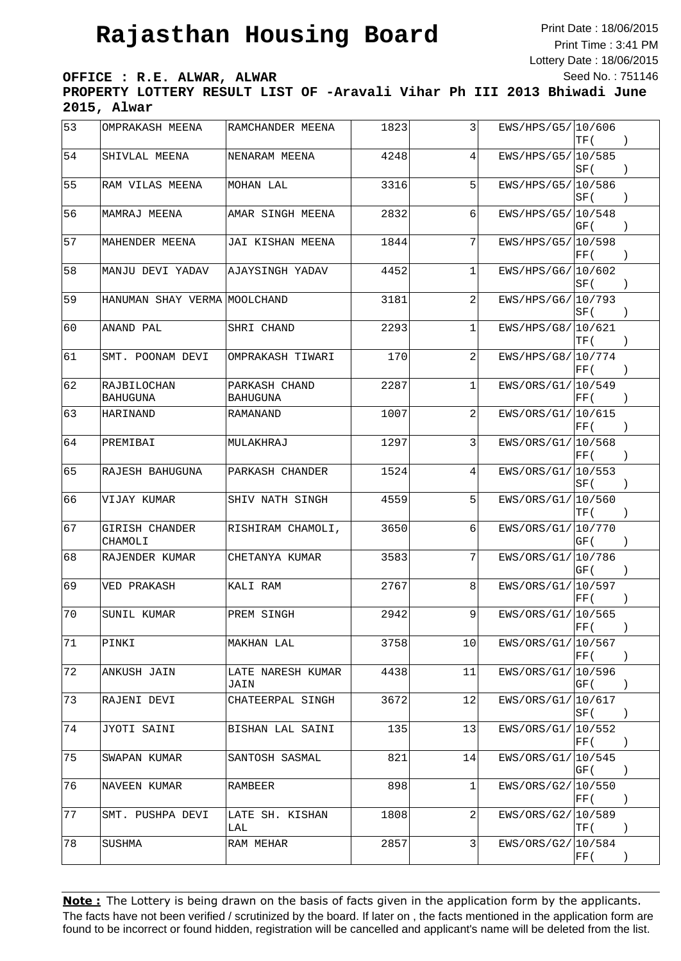Print Date : 18/06/2015 Print Time : 3:41 PM Lottery Date : 18/06/2015 Seed No. : 751146

**OFFICE : R.E. ALWAR, ALWAR PROPERTY LOTTERY RESULT LIST OF -Aravali Vihar Ph III 2013 Bhiwadi June**

**2015, Alwar**

| 53          | OMPRAKASH MEENA                | RAMCHANDER MEENA          | 1823 | 3  | EWS/HPS/G5/10/606  | TF (                                             |                  |
|-------------|--------------------------------|---------------------------|------|----|--------------------|--------------------------------------------------|------------------|
| 54          | SHIVLAL MEENA                  | NENARAM MEENA             | 4248 | 4  | EWS/HPS/G5/ 10/585 | SF (                                             | $\rightarrow$    |
| 55          | RAM VILAS MEENA                | MOHAN LAL                 | 3316 | 5  | EWS/HPS/G5/ 10/586 | SF (                                             | $\cdot$          |
| 56          | MAMRAJ MEENA                   | AMAR SINGH MEENA          | 2832 | 6  | EWS/HPS/G5/ 10/548 | GF (                                             | $\cdot$          |
| 57          | MAHENDER MEENA                 | JAI KISHAN MEENA          | 1844 | 7  | EWS/HPS/G5/ 10/598 | FF(                                              | $\rightarrow$    |
| 58          | MANJU DEVI YADAV               | AJAYSINGH YADAV           | 4452 | 1  | EWS/HPS/G6/ 10/602 | SF (                                             | $\left( \right)$ |
| 59          | HANUMAN SHAY VERMA MOOLCHAND   |                           | 3181 | 2  | EWS/HPS/G6/ 10/793 | SF (                                             | $\rightarrow$    |
| 60          | ANAND PAL                      | SHRI CHAND                | 2293 | 1  | EWS/HPS/G8/ 10/621 | TF (                                             |                  |
| 61          | SMT. POONAM DEVI               | OMPRAKASH TIWARI          | 170  | 2  | EWS/HPS/G8/ 10/774 | FF(                                              |                  |
| 62          | RAJBILOCHAN<br><b>BAHUGUNA</b> | PARKASH CHAND<br>BAHUGUNA | 2287 | 1  | EWS/ORS/G1/ 10/549 | FF (                                             | $\rightarrow$    |
| 63          | HARINAND                       | RAMANAND                  | 1007 | 2  | EWS/ORS/G1/ 10/615 | $\vert$ FF (                                     | $\left( \right)$ |
| 64          | PREMIBAI                       | MULAKHRAJ                 | 1297 | 3  | EWS/ORS/G1/ 10/568 | FF(                                              |                  |
| 65          | RAJESH BAHUGUNA                | PARKASH CHANDER           | 1524 | 4  | EWS/ORS/G1/ 10/553 | SF(                                              | $\left( \right)$ |
| 66          | VIJAY KUMAR                    | SHIV NATH SINGH           | 4559 | 5  | EWS/ORS/G1/ 10/560 | TF (                                             | $\lambda$        |
| 67          | GIRISH CHANDER<br>CHAMOLI      | RISHIRAM CHAMOLI,         | 3650 | 6  | EWS/ORS/G1/ 10/770 | GF (                                             | $\lambda$        |
| 68          | RAJENDER KUMAR                 | CHETANYA KUMAR            | 3583 | 7  | EWS/ORS/G1/ 10/786 | GF (                                             | $\rightarrow$    |
| 69          | VED PRAKASH                    | KALI RAM                  | 2767 | 8  | EWS/ORS/G1/ 10/597 | FF(                                              | $\left( \right)$ |
| 70          | SUNIL KUMAR                    | PREM SINGH                | 2942 | 9  | EWS/ORS/G1/ 10/565 | FF(                                              |                  |
| 71          | PINKI                          | MAKHAN LAL                | 3758 | 10 | EWS/ORS/G1/10/567  | $\vert$ FF (                                     | $\rightarrow$    |
| 72          | ANKUSH JAIN                    | LATE NARESH KUMAR<br>JAIN | 4438 | 11 | EWS/ORS/G1/ 10/596 | GF (                                             | $\rightarrow$    |
| $\sqrt{73}$ | RAJENI DEVI                    | CHATEERPAL SINGH          | 3672 | 12 | EWS/ORS/G1/ 10/617 | SF (                                             | $\rightarrow$    |
| 74          | JYOTI SAINI                    | BISHAN LAL SAINI          | 135  | 13 | EWS/ORS/G1/ 10/552 | $\left  \text{FF}\left( \right. \right. \right.$ | $\rightarrow$    |
| 75          | SWAPAN KUMAR                   | SANTOSH SASMAL            | 821  | 14 | EWS/ORS/G1/ 10/545 | GF (                                             | $\cdot$          |
| 76          | NAVEEN KUMAR                   | RAMBEER                   | 898  | 1  | EWS/ORS/G2/ 10/550 | $\left  \mathrm{FF}\left( \right. \right.$       | $\left( \right)$ |
| 77          | SMT. PUSHPA DEVI               | LATE SH. KISHAN<br>LAL    | 1808 | 2  | EWS/ORS/G2/10/589  | TF (                                             |                  |
| 78          | SUSHMA                         | RAM MEHAR                 | 2857 | 3  | EWS/ORS/G2/ 10/584 | $\vert$ FF (                                     | $\lambda$        |
|             |                                |                           |      |    |                    |                                                  |                  |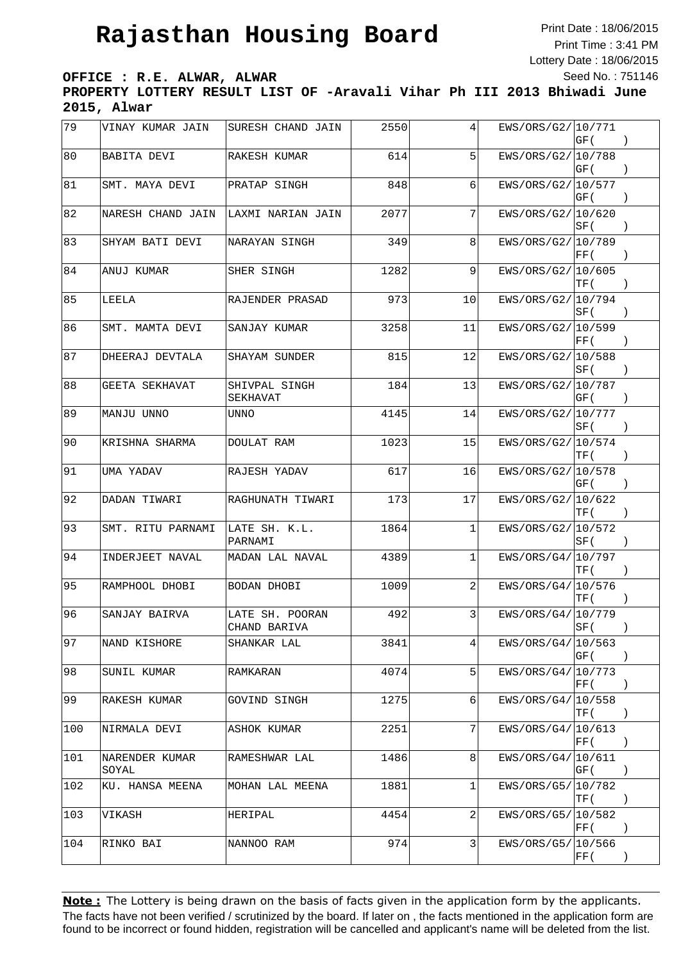Print Date : 18/06/2015 Print Time : 3:41 PM Lottery Date : 18/06/2015 Seed No. : 751146

**OFFICE : R.E. ALWAR, ALWAR**

**PROPERTY LOTTERY RESULT LIST OF -Aravali Vihar Ph III 2013 Bhiwadi June 2015, Alwar**

| 79  | VINAY KUMAR JAIN        | SURESH CHAND JAIN               | 2550 | 4  | EWS/ORS/G2/10/771  | GF (                                       |                                               |
|-----|-------------------------|---------------------------------|------|----|--------------------|--------------------------------------------|-----------------------------------------------|
| 80  | BABITA DEVI             | RAKESH KUMAR                    | 614  | 5  | EWS/ORS/G2/ 10/788 | GF (                                       |                                               |
| 81  | SMT. MAYA DEVI          | PRATAP SINGH                    | 848  | 6  | EWS/ORS/G2/ 10/577 | GF (                                       | $\rightarrow$                                 |
| 82  | NARESH CHAND JAIN       | LAXMI NARIAN JAIN               | 2077 | 7  | EWS/ORS/G2/ 10/620 | SF (                                       | $\left( \right)$                              |
| 83  | SHYAM BATI DEVI         | NARAYAN SINGH                   | 349  | 8  | EWS/ORS/G2/ 10/789 | FF(                                        |                                               |
| 84  | ANUJ KUMAR              | SHER SINGH                      | 1282 | 9  | EWS/ORS/G2/ 10/605 | TF (                                       | $\rightarrow$                                 |
| 85  | LEELA                   | RAJENDER PRASAD                 | 973  | 10 | EWS/ORS/G2/ 10/794 | SF (                                       | $\cdot$                                       |
| 86  | SMT. MAMTA DEVI         | SANJAY KUMAR                    | 3258 | 11 | EWS/ORS/G2/10/599  | FF(                                        | $\rightarrow$                                 |
| 87  | DHEERAJ DEVTALA         | SHAYAM SUNDER                   | 815  | 12 | EWS/ORS/G2/ 10/588 | SF (                                       | $\rightarrow$                                 |
| 88  | <b>GEETA SEKHAVAT</b>   | SHIVPAL SINGH<br>SEKHAVAT       | 184  | 13 | EWS/ORS/G2/ 10/787 | GF (                                       |                                               |
| 89  | MANJU UNNO              | UNNO                            | 4145 | 14 | EWS/ORS/G2/ 10/777 | SF (                                       |                                               |
| 90  | KRISHNA SHARMA          | DOULAT RAM                      | 1023 | 15 | EWS/ORS/G2/10/574  | TF (                                       |                                               |
| 91  | UMA YADAV               | RAJESH YADAV                    | 617  | 16 | EWS/ORS/G2/ 10/578 | GF (                                       | $\rightarrow$                                 |
| 92  | DADAN TIWARI            | RAGHUNATH TIWARI                | 173  | 17 | EWS/ORS/G2/ 10/622 | TF (                                       | $\rightarrow$                                 |
| 93  | SMT. RITU PARNAMI       | LATE SH. K.L.<br>PARNAMI        | 1864 | 1  | EWS/ORS/G2/ 10/572 | SF (                                       | $\left( \right)$                              |
| 94  | INDERJEET NAVAL         | MADAN LAL NAVAL                 | 4389 | 1  | EWS/ORS/G4/ 10/797 | TF (                                       |                                               |
| 95  | RAMPHOOL DHOBI          | BODAN DHOBI                     | 1009 | 2  | EWS/ORS/G4/ 10/576 | TF (                                       | $\rightarrow$                                 |
| 96  | SANJAY BAIRVA           | LATE SH. POORAN<br>CHAND BARIVA | 492  | 3  | EWS/ORS/G4/ 10/779 | SF (                                       |                                               |
| 97  | NAND KISHORE            | SHANKAR LAL                     | 3841 | 4  | EWS/ORS/G4/ 10/563 | GF (                                       | $\rightarrow$                                 |
| 98  | SUNIL KUMAR             | RAMKARAN                        | 4074 | 5  | EWS/ORS/G4/10/773  | $\left \mathrm{FF}\left(\right.\right)$    |                                               |
| 99  | RAKESH KUMAR            | GOVIND SINGH                    | 1275 | 6  | EWS/ORS/G4/10/558  | TF (                                       |                                               |
| 100 | NIRMALA DEVI            | ASHOK KUMAR                     | 2251 | 7  | EWS/ORS/G4/ 10/613 | $\left  \mathrm{FF}\left( \right. \right.$ | $\rightarrow$                                 |
| 101 | NARENDER KUMAR<br>SOYAL | RAMESHWAR LAL                   | 1486 | 8  | EWS/ORS/G4/10/611  | GF (                                       | $\rightarrow$                                 |
| 102 | KU. HANSA MEENA         | MOHAN LAL MEENA                 | 1881 | 1  | EWS/ORS/G5/10/782  | TF (                                       | $\rightarrow$                                 |
| 103 | VIKASH                  | HERIPAL                         | 4454 | 2  | EWS/ORS/G5/ 10/582 | FF (                                       | $\left( \begin{array}{c} \end{array} \right)$ |
| 104 | RINKO BAI               | NANNOO RAM                      | 974  | 3  | EWS/ORS/G5/ 10/566 | $\left  \mathrm{FF}\left( \right. \right.$ | $\left( \right)$                              |